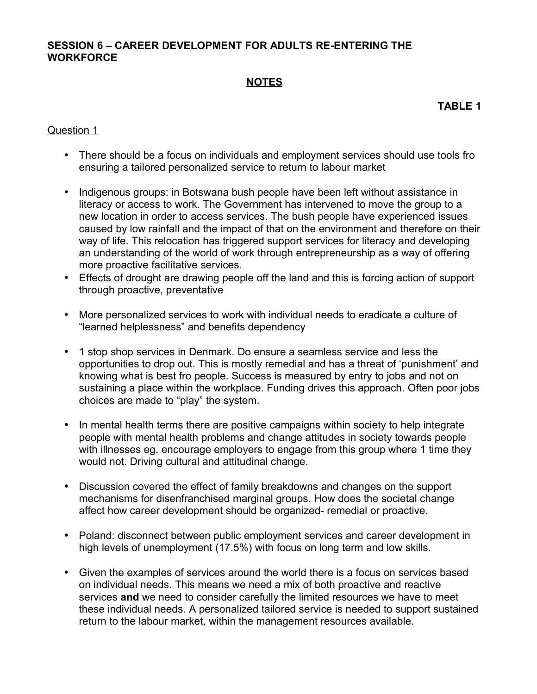### **SESSION 6 – CAREER DEVELOPMENT FOR ADULTS RE-ENTERING THE WORKFORCE**

# **NOTES**

**TABLE 1**

### Question 1

- There should be a focus on individuals and employment services should use tools fro ensuring a tailored personalized service to return to labour market
- Indigenous groups: in Botswana bush people have been left without assistance in literacy or access to work. The Government has intervened to move the group to a new location in order to access services. The bush people have experienced issues caused by low rainfall and the impact of that on the environment and therefore on their way of life. This relocation has triggered support services for literacy and developing an understanding of the world of work through entrepreneurship as a way of offering more proactive facilitative services.
- Effects of drought are drawing people off the land and this is forcing action of support through proactive, preventative
- More personalized services to work with individual needs to eradicate a culture of "learned helplessness" and benefits dependency
- 1 stop shop services in Denmark. Do ensure a seamless service and less the opportunities to drop out. This is mostly remedial and has a threat of 'punishment' and knowing what is best fro people. Success is measured by entry to jobs and not on sustaining a place within the workplace. Funding drives this approach. Often poor jobs choices are made to "play" the system.
- In mental health terms there are positive campaigns within society to help integrate people with mental health problems and change attitudes in society towards people with illnesses eg. encourage employers to engage from this group where 1 time they would not. Driving cultural and attitudinal change.
- Discussion covered the effect of family breakdowns and changes on the support mechanisms for disenfranchised marginal groups. How does the societal change affect how career development should be organized- remedial or proactive.
- Poland: disconnect between public employment services and career development in high levels of unemployment (17.5%) with focus on long term and low skills.
- Given the examples of services around the world there is a focus on services based on individual needs. This means we need a mix of both proactive and reactive services **and** we need to consider carefully the limited resources we have to meet these individual needs. A personalized tailored service is needed to support sustained return to the labour market, within the management resources available.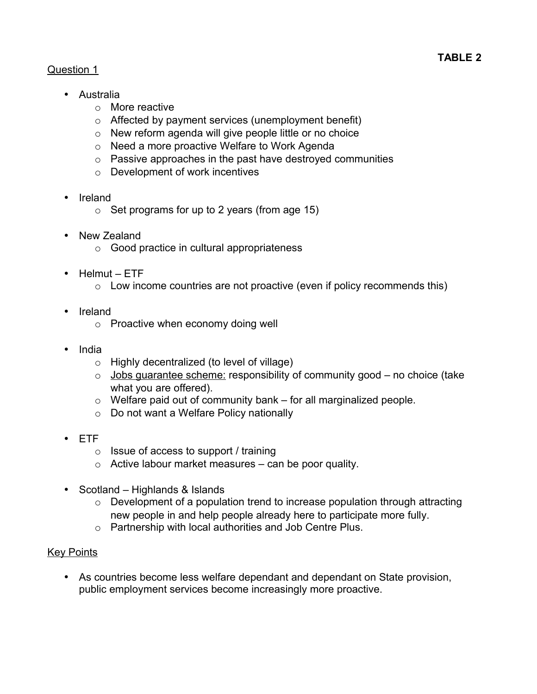# Question 1

- Australia
	- o More reactive
	- o Affected by payment services (unemployment benefit)
	- o New reform agenda will give people little or no choice
	- o Need a more proactive Welfare to Work Agenda
	- o Passive approaches in the past have destroyed communities
	- o Development of work incentives
- Ireland
	- $\circ$  Set programs for up to 2 years (from age 15)
- New Zealand
	- o Good practice in cultural appropriateness
- Helmut ETF
	- $\circ$  Low income countries are not proactive (even if policy recommends this)
- Ireland
	- o Proactive when economy doing well
- India
	- o Highly decentralized (to level of village)
	- $\circ$  Jobs quarantee scheme: responsibility of community good no choice (take what you are offered).
	- $\circ$  Welfare paid out of community bank for all marginalized people.
	- o Do not want a Welfare Policy nationally
- ETF
	- $\circ$  Issue of access to support / training
	- $\circ$  Active labour market measures can be poor quality.
- Scotland Highlands & Islands
	- $\circ$  Development of a population trend to increase population through attracting new people in and help people already here to participate more fully.
	- o Partnership with local authorities and Job Centre Plus.

# Key Points

• As countries become less welfare dependant and dependant on State provision, public employment services become increasingly more proactive.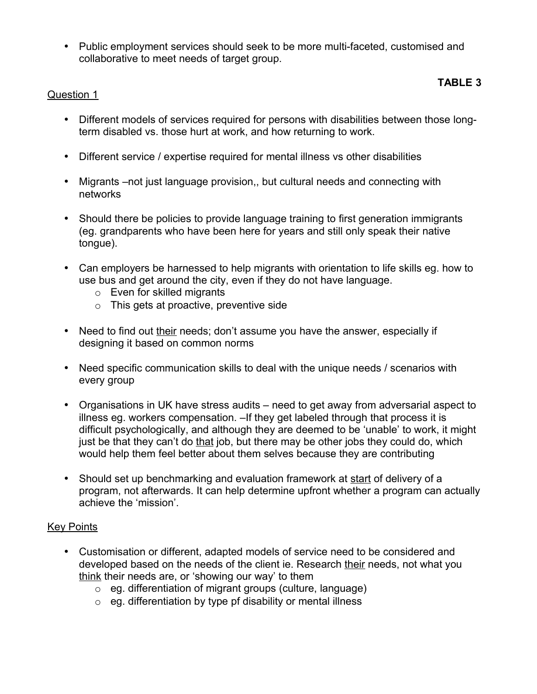• Public employment services should seek to be more multi-faceted, customised and collaborative to meet needs of target group.

# **TABLE 3**

# Question 1

- Different models of services required for persons with disabilities between those longterm disabled vs. those hurt at work, and how returning to work.
- Different service / expertise required for mental illness vs other disabilities
- Migrants –not just language provision,, but cultural needs and connecting with networks
- Should there be policies to provide language training to first generation immigrants (eg. grandparents who have been here for years and still only speak their native tongue).
- Can employers be harnessed to help migrants with orientation to life skills eg. how to use bus and get around the city, even if they do not have language.
	- o Even for skilled migrants
	- o This gets at proactive, preventive side
- Need to find out their needs; don't assume you have the answer, especially if designing it based on common norms
- Need specific communication skills to deal with the unique needs / scenarios with every group
- Organisations in UK have stress audits need to get away from adversarial aspect to illness eg. workers compensation. –If they get labeled through that process it is difficult psychologically, and although they are deemed to be 'unable' to work, it might just be that they can't do that job, but there may be other jobs they could do, which would help them feel better about them selves because they are contributing
- Should set up benchmarking and evaluation framework at start of delivery of a program, not afterwards. It can help determine upfront whether a program can actually achieve the 'mission'.

# Key Points

- Customisation or different, adapted models of service need to be considered and developed based on the needs of the client ie. Research their needs, not what you think their needs are, or 'showing our way' to them
	- o eg. differentiation of migrant groups (culture, language)
	- $\circ$  eq. differentiation by type pf disability or mental illness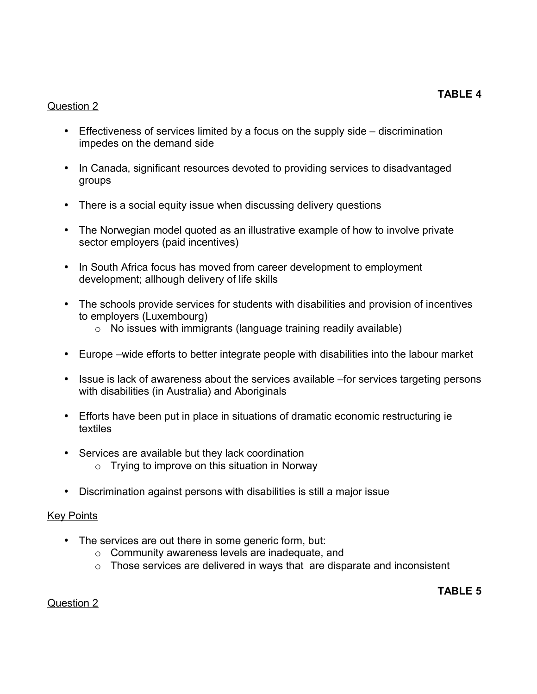#### Question 2

- Effectiveness of services limited by a focus on the supply side discrimination impedes on the demand side
- In Canada, significant resources devoted to providing services to disadvantaged groups
- There is a social equity issue when discussing delivery questions
- The Norwegian model quoted as an illustrative example of how to involve private sector employers (paid incentives)
- In South Africa focus has moved from career development to employment development; allhough delivery of life skills
- The schools provide services for students with disabilities and provision of incentives to employers (Luxembourg)
	- $\circ$  No issues with immigrants (language training readily available)
- Europe –wide efforts to better integrate people with disabilities into the labour market
- Issue is lack of awareness about the services available –for services targeting persons with disabilities (in Australia) and Aboriginals
- Efforts have been put in place in situations of dramatic economic restructuring ie textiles
- Services are available but they lack coordination
	- $\circ$  Trying to improve on this situation in Norway
- Discrimination against persons with disabilities is still a major issue

#### Key Points

- The services are out there in some generic form, but:
	- o Community awareness levels are inadequate, and
	- $\circ$  Those services are delivered in ways that are disparate and inconsistent

#### Question 2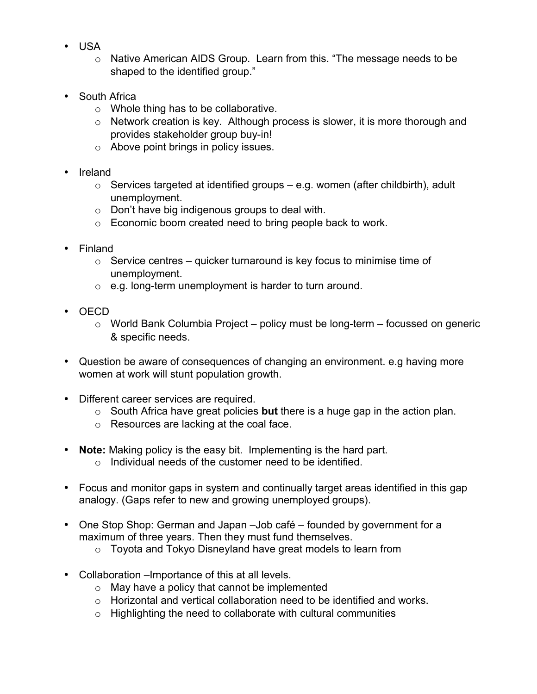- USA
	- o Native American AIDS Group. Learn from this. "The message needs to be shaped to the identified group."
- **South Africa** 
	- o Whole thing has to be collaborative.
	- o Network creation is key. Although process is slower, it is more thorough and provides stakeholder group buy-in!
	- o Above point brings in policy issues.
- Ireland
	- $\circ$  Services targeted at identified groups e.g. women (after childbirth), adult unemployment.
	- o Don't have big indigenous groups to deal with.
	- o Economic boom created need to bring people back to work.
- Finland
	- $\circ$  Service centres quicker turnaround is key focus to minimise time of unemployment.
	- $\circ$  e.g. long-term unemployment is harder to turn around.
- OECD
	- $\circ$  World Bank Columbia Project policy must be long-term focussed on generic & specific needs.
- Question be aware of consequences of changing an environment. e.g having more women at work will stunt population growth.
- Different career services are required.
	- o South Africa have great policies **but** there is a huge gap in the action plan.
	- o Resources are lacking at the coal face.
- **Note:** Making policy is the easy bit. Implementing is the hard part.
	- $\circ$  Individual needs of the customer need to be identified.
- Focus and monitor gaps in system and continually target areas identified in this gap analogy. (Gaps refer to new and growing unemployed groups).
- One Stop Shop: German and Japan Job café founded by government for a maximum of three years. Then they must fund themselves.
	- o Toyota and Tokyo Disneyland have great models to learn from
- Collaboration –Importance of this at all levels.
	- o May have a policy that cannot be implemented
	- o Horizontal and vertical collaboration need to be identified and works.
	- $\circ$  Highlighting the need to collaborate with cultural communities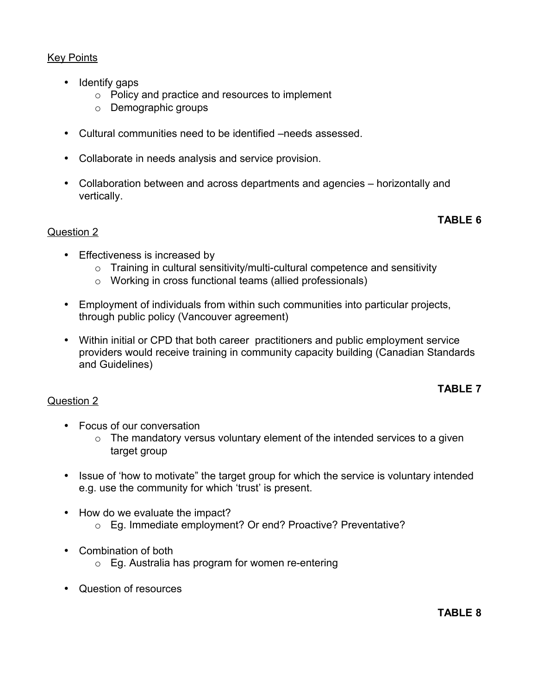# **Key Points**

- Identify gaps
	- o Policy and practice and resources to implement
	- o Demographic groups
- Cultural communities need to be identified –needs assessed.
- Collaborate in needs analysis and service provision.
- Collaboration between and across departments and agencies horizontally and vertically.

#### **TABLE 6**

#### Question 2

Question 2

- Effectiveness is increased by
	- $\circ$  Training in cultural sensitivity/multi-cultural competence and sensitivity
	- o Working in cross functional teams (allied professionals)
- Employment of individuals from within such communities into particular projects, through public policy (Vancouver agreement)
- Within initial or CPD that both career practitioners and public employment service providers would receive training in community capacity building (Canadian Standards and Guidelines)

#### **TABLE 7**

- Focus of our conversation
	- $\circ$  The mandatory versus voluntary element of the intended services to a given target group
- Issue of 'how to motivate" the target group for which the service is voluntary intended e.g. use the community for which 'trust' is present.
- How do we evaluate the impact?
	- o Eg. Immediate employment? Or end? Proactive? Preventative?
- Combination of both
	- $\circ$  Eg. Australia has program for women re-entering
- Question of resources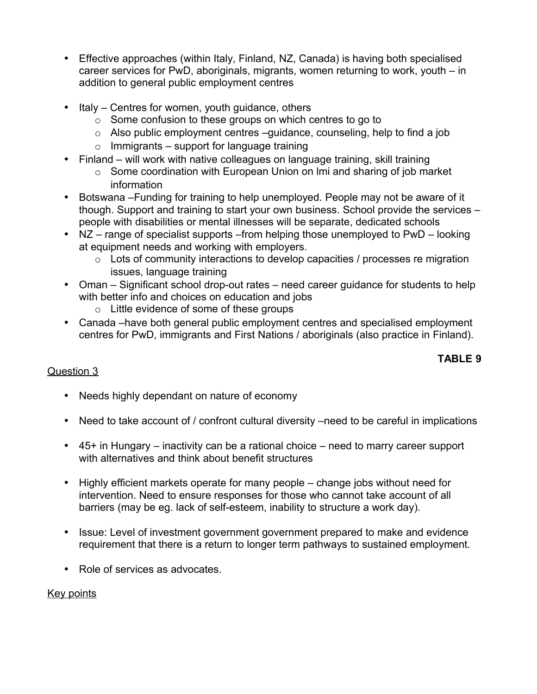- Effective approaches (within Italy, Finland, NZ, Canada) is having both specialised career services for PwD, aboriginals, migrants, women returning to work, youth – in addition to general public employment centres
- Italy Centres for women, youth quidance, others
	- o Some confusion to these groups on which centres to go to
	- o Also public employment centres –guidance, counseling, help to find a job
	- $\circ$  Immigrants support for language training
- Finland will work with native colleagues on language training, skill training
	- o Some coordination with European Union on lmi and sharing of job market information
- Botswana –Funding for training to help unemployed. People may not be aware of it though. Support and training to start your own business. School provide the services – people with disabilities or mental illnesses will be separate, dedicated schools
- NZ range of specialist supports from helping those unemployed to PwD looking at equipment needs and working with employers.
	- $\circ$  Lots of community interactions to develop capacities / processes re migration issues, language training
- Oman Significant school drop-out rates need career guidance for students to help with better info and choices on education and jobs
	- o Little evidence of some of these groups
- Canada –have both general public employment centres and specialised employment centres for PwD, immigrants and First Nations / aboriginals (also practice in Finland).

# **TABLE 9**

# Question 3

- Needs highly dependant on nature of economy
- Need to take account of / confront cultural diversity –need to be careful in implications
- 45+ in Hungary inactivity can be a rational choice need to marry career support with alternatives and think about benefit structures
- Highly efficient markets operate for many people change jobs without need for intervention. Need to ensure responses for those who cannot take account of all barriers (may be eg. lack of self-esteem, inability to structure a work day).
- Issue: Level of investment government government prepared to make and evidence requirement that there is a return to longer term pathways to sustained employment.
- Role of services as advocates.

#### Key points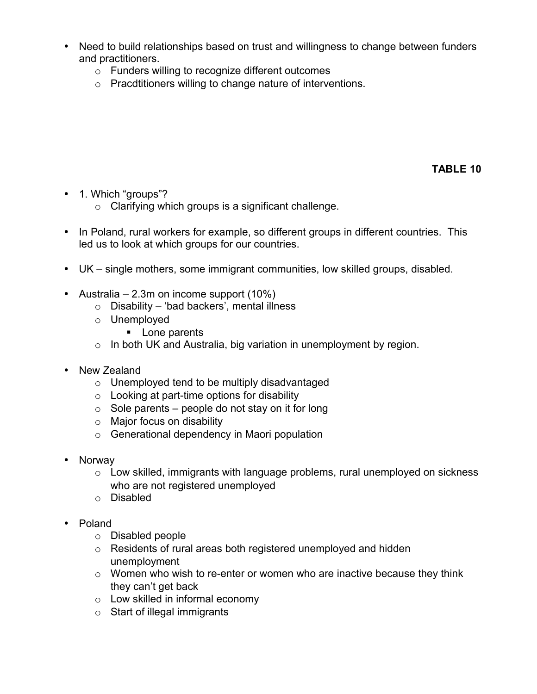- Need to build relationships based on trust and willingness to change between funders and practitioners.
	- o Funders willing to recognize different outcomes
	- o Pracdtitioners willing to change nature of interventions.

**TABLE 10**

- 1. Which "groups"?
	- o Clarifying which groups is a significant challenge.
- In Poland, rural workers for example, so different groups in different countries. This led us to look at which groups for our countries.
- UK single mothers, some immigrant communities, low skilled groups, disabled.
- Australia 2.3m on income support  $(10\%)$ 
	- $\circ$  Disability 'bad backers', mental illness
	- o Unemployed
		- **Lone parents**
	- $\circ$  In both UK and Australia, big variation in unemployment by region.
- New Zealand
	- o Unemployed tend to be multiply disadvantaged
	- $\circ$  Looking at part-time options for disability
	- $\circ$  Sole parents people do not stay on it for long
	- o Major focus on disability
	- o Generational dependency in Maori population
- Norway
	- o Low skilled, immigrants with language problems, rural unemployed on sickness who are not registered unemployed
	- o Disabled
- Poland
	- o Disabled people
	- o Residents of rural areas both registered unemployed and hidden unemployment
	- o Women who wish to re-enter or women who are inactive because they think they can't get back
	- o Low skilled in informal economy
	- o Start of illegal immigrants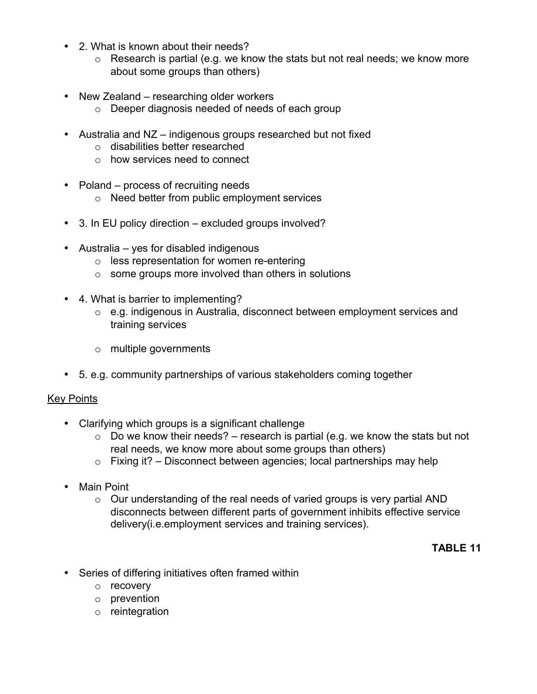- 2. What is known about their needs?
	- $\circ$  Research is partial (e.g. we know the stats but not real needs; we know more about some groups than others)
- New Zealand researching older workers
	- o Deeper diagnosis needed of needs of each group
- Australia and NZ indigenous groups researched but not fixed
	- o disabilities better researched
	- o how services need to connect
- Poland process of recruiting needs
	- o Need better from public employment services
- 3. In EU policy direction excluded groups involved?
- Australia yes for disabled indigenous
	- o less representation for women re-entering
	- $\circ$  some groups more involved than others in solutions
- 4. What is barrier to implementing?
	- o e.g. indigenous in Australia, disconnect between employment services and training services
	- o multiple governments
- 5. e.g. community partnerships of various stakeholders coming together

#### **Key Points**

- Clarifying which groups is a significant challenge
	- $\circ$  Do we know their needs? research is partial (e.g. we know the stats but not real needs, we know more about some groups than others)
	- $\circ$  Fixing it? Disconnect between agencies; local partnerships may help
- Main Point
	- o Our understanding of the real needs of varied groups is very partial AND disconnects between different parts of government inhibits effective service delivery(i.e.employment services and training services).

# **TABLE 11**

- Series of differing initiatives often framed within
	- o recovery
	- o prevention
	- o reintegration